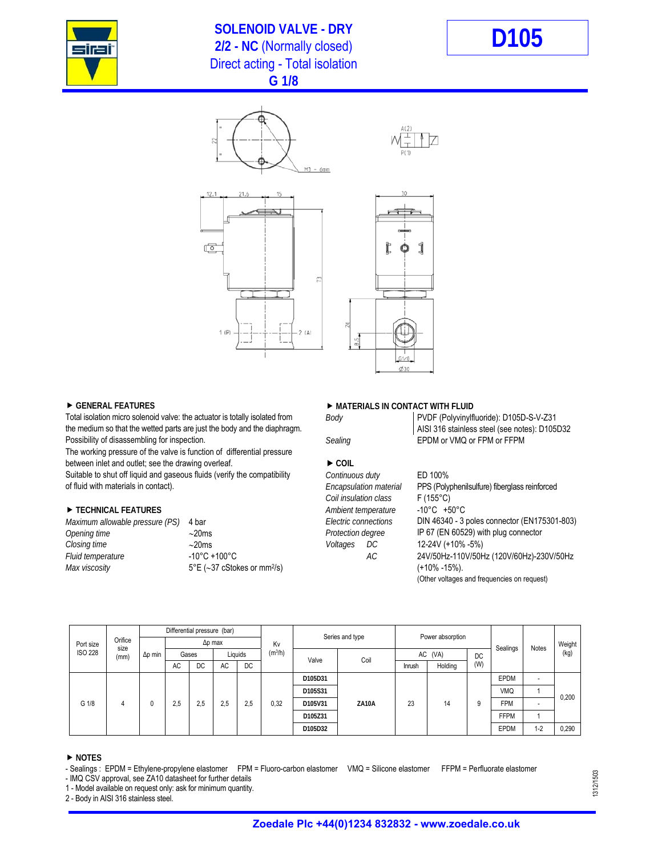

## **SOLENOID VALVE - DRY**  2/2 - NC (Normally closed)<br>2/2 - NC (Normally closed) Direct acting - Total isolation **G 1/8**



6mm  $2(A)$ 

Total isolation micro solenoid valve: the actuator is totally isolated from *Body* PVDF (Polyvinylfluoride): D105D-S-V-Z31<br>
the medium so that the wetted parts are just the body and the diaphragm. the medium so that the wetted parts are just the body and the diaphragm. Possibility of disassembling for inspection. **EPDM** or VMQ or FPM or FFPM or FFPM

The working pressure of the valve is function of differential pressure between inlet and outlet; see the drawing overleaf. **DECISION COIL** 

Suitable to shut off liquid and gaseous fluids (verify the compatibility *Continuous duty* ED 100%

| Maximum allowable pressure (PS) 4 bar |                                                  |
|---------------------------------------|--------------------------------------------------|
| Opening time                          | $\sim$ 20ms                                      |
| Closing time                          | $\sim$ 20ms                                      |
| Fluid temperature                     | $-10^{\circ}$ C +100 $^{\circ}$ C                |
| Max viscosity                         | $5^{\circ}E$ (~37 cStokes or mm <sup>2</sup> /s) |

## ▶ GENERAL FEATURES **ARRAIGING THE SET ASSESSED ASSESSED A** MATERIALS IN CONTACT WITH FLUID

| Body |  |  |
|------|--|--|
|      |  |  |

 *Coil insulation class* F (155°C) **TECHNICAL FEATURES** *Ambient temperature* -10°C +50°C *Closing time* 20ms *Voltages DC* 12-24V (+10% -5%)

# Encapsulation material PPS (Polyphenilsulfure) fiberglass reinforced *Electric connections* **DIN 46340 - 3 poles connector (EN175301-803)** *Protection degree* **IP 67 (EN 60529) with plug connector** *Fluid temperature* -10°C +100°C *AC* 24V/50Hz-110V/50Hz (120V/60Hz)-230V/50Hz *(*+10% -15%). (Other voltages and frequencies on request)

|       | Port size<br><b>ISO 228</b> |                         |                | Differential pressure (bar) |     |     |                     | Kv    | Series and type |         | Power absorption |         |     | Sealings    | Notes      | Weight |  |  |  |  |  |  |  |  |  |  |  |  |         |  |  |  |  |             |         |
|-------|-----------------------------|-------------------------|----------------|-----------------------------|-----|-----|---------------------|-------|-----------------|---------|------------------|---------|-----|-------------|------------|--------|--|--|--|--|--|--|--|--|--|--|--|--|---------|--|--|--|--|-------------|---------|
|       |                             | Orifice<br>size<br>(mm) | $\Delta p$ min | $\Delta p$ max              |     |     |                     |       |                 |         |                  |         |     |             |            |        |  |  |  |  |  |  |  |  |  |  |  |  |         |  |  |  |  |             |         |
|       |                             |                         |                | Liquids<br>Gases            |     |     | (m <sup>3</sup> /h) | Valve | Coil            | AC (VA) |                  | DC.     |     |             | (kg)       |        |  |  |  |  |  |  |  |  |  |  |  |  |         |  |  |  |  |             |         |
|       |                             |                         |                | AC                          | DC. | AC  | <b>DC</b>           |       |                 |         | Inrush           | Holding | (W) |             |            |        |  |  |  |  |  |  |  |  |  |  |  |  |         |  |  |  |  |             |         |
|       |                             |                         | 0<br>4         | 2,5                         |     |     |                     |       | D105D31         |         |                  |         |     | <b>EPDM</b> | -          |        |  |  |  |  |  |  |  |  |  |  |  |  |         |  |  |  |  |             |         |
| G 1/8 |                             |                         |                |                             |     |     |                     |       |                 | D105S31 |                  |         |     |             | <b>VMQ</b> |        |  |  |  |  |  |  |  |  |  |  |  |  |         |  |  |  |  |             |         |
|       |                             |                         |                |                             | 2.5 | 2.5 | 2.5                 | 0,32  | D105V31         | ZA10A   | 23               | 14      | 9   | <b>FPM</b>  | -          | 0,200  |  |  |  |  |  |  |  |  |  |  |  |  |         |  |  |  |  |             |         |
|       |                             |                         |                |                             |     |     |                     |       | D105Z31         |         |                  |         |     | <b>FFPM</b> |            |        |  |  |  |  |  |  |  |  |  |  |  |  |         |  |  |  |  |             |         |
|       |                             |                         |                |                             |     |     |                     |       |                 |         |                  |         |     |             |            |        |  |  |  |  |  |  |  |  |  |  |  |  | D105D32 |  |  |  |  | <b>EPDM</b> | $1 - 2$ |

### **NOTES**

- IMQ CSV approval, see ZA10 datasheet for further details

1 - Model available on request only: ask for minimum quantity.

2 - Body in AISI 316 stainless steel.

<sup>-</sup> Sealings : EPDM = Ethylene-propylene elastomer FPM = Fluoro-carbon elastomer VMQ = Silicone elastomer FFPM = Perfluorate elastomer